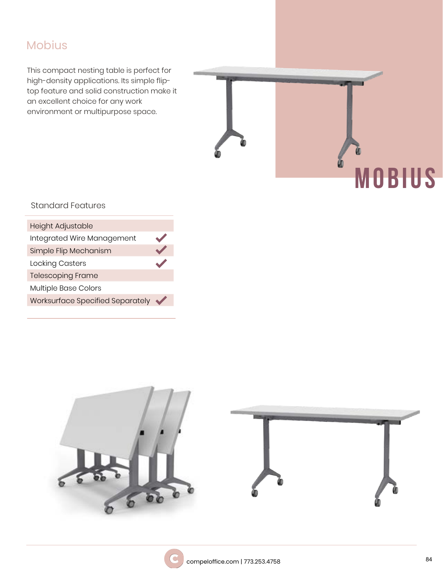# Mobius

This compact nesting table is perfect for high-density applications. Its simple fliptop feature and solid construction make it an excellent choice for any work environment or multipurpose space.

# **M O B I U S**

## Standard Features

| <b>Height Adjustable</b>                |               |
|-----------------------------------------|---------------|
| Integrated Wire Management              | $\sqrt{2}$    |
| Simple Flip Mechanism                   | $\sqrt{}$     |
| <b>Locking Casters</b>                  | $\mathcal{L}$ |
| <b>Telescoping Frame</b>                |               |
| Multiple Base Colors                    |               |
| <b>Worksurface Specified Separately</b> | $\sqrt{}$     |
|                                         |               |